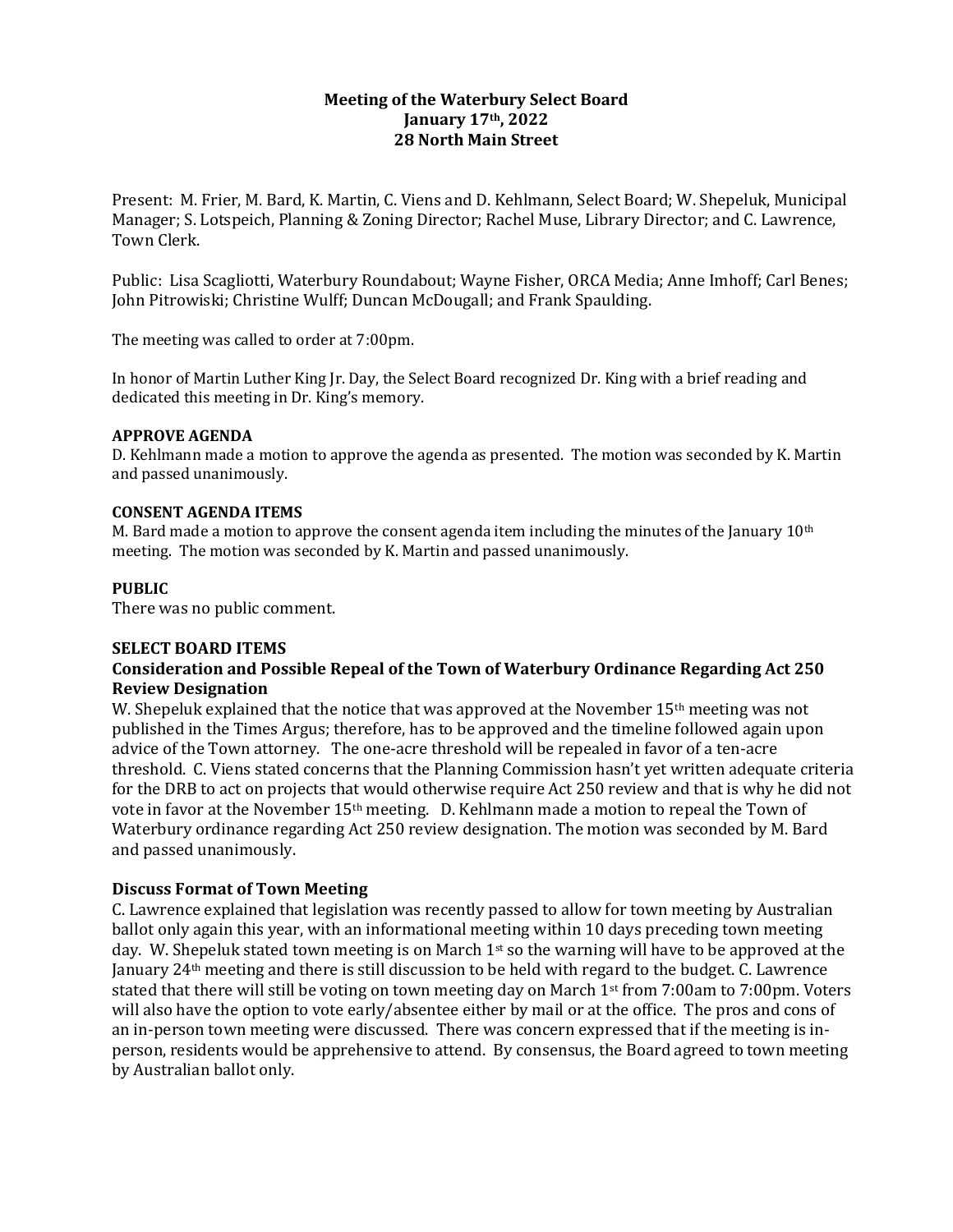# **Meeting of the Waterbury Select Board January 17th, 2022 28 North Main Street**

Present: M. Frier, M. Bard, K. Martin, C. Viens and D. Kehlmann, Select Board; W. Shepeluk, Municipal Manager; S. Lotspeich, Planning & Zoning Director; Rachel Muse, Library Director; and C. Lawrence, Town Clerk.

Public: Lisa Scagliotti, Waterbury Roundabout; Wayne Fisher, ORCA Media; Anne Imhoff; Carl Benes; John Pitrowiski; Christine Wulff; Duncan McDougall; and Frank Spaulding.

The meeting was called to order at 7:00pm.

In honor of Martin Luther King Jr. Day, the Select Board recognized Dr. King with a brief reading and dedicated this meeting in Dr. King's memory.

### **APPROVE AGENDA**

D. Kehlmann made a motion to approve the agenda as presented. The motion was seconded by K. Martin and passed unanimously.

### **CONSENT AGENDA ITEMS**

M. Bard made a motion to approve the consent agenda item including the minutes of the January 10<sup>th</sup> meeting. The motion was seconded by K. Martin and passed unanimously.

## **PUBLIC**

There was no public comment.

#### **SELECT BOARD ITEMS**

# **Consideration and Possible Repeal of the Town of Waterbury Ordinance Regarding Act 250 Review Designation**

W. Shepeluk explained that the notice that was approved at the November 15<sup>th</sup> meeting was not published in the Times Argus; therefore, has to be approved and the timeline followed again upon advice of the Town attorney. The one-acre threshold will be repealed in favor of a ten-acre threshold. C. Viens stated concerns that the Planning Commission hasn't yet written adequate criteria for the DRB to act on projects that would otherwise require Act 250 review and that is why he did not vote in favor at the November 15th meeting. D. Kehlmann made a motion to repeal the Town of Waterbury ordinance regarding Act 250 review designation. The motion was seconded by M. Bard and passed unanimously.

## **Discuss Format of Town Meeting**

C. Lawrence explained that legislation was recently passed to allow for town meeting by Australian ballot only again this year, with an informational meeting within 10 days preceding town meeting day. W. Shepeluk stated town meeting is on March 1<sup>st</sup> so the warning will have to be approved at the January 24th meeting and there is still discussion to be held with regard to the budget. C. Lawrence stated that there will still be voting on town meeting day on March 1st from 7:00am to 7:00pm. Voters will also have the option to vote early/absentee either by mail or at the office. The pros and cons of an in-person town meeting were discussed. There was concern expressed that if the meeting is inperson, residents would be apprehensive to attend. By consensus, the Board agreed to town meeting by Australian ballot only.